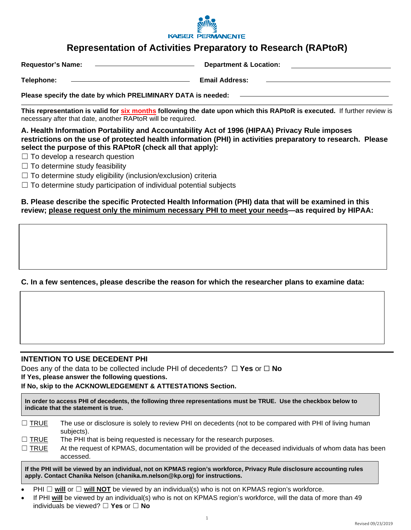

# **Representation of Activities Preparatory to Research (RAPtoR)**

**Requestor's Name: Department & Location:** 

**Telephone: Email Address:** 

**Please specify the date by which PRELIMINARY DATA is needed:** 

**This representation is valid for six months following the date upon which this RAPtoR is executed.** If further review is necessary after that date, another RAPtoR will be required.

**A. Health Information Portability and Accountability Act of 1996 (HIPAA) Privacy Rule imposes restrictions on the use of protected health information (PHI) in activities preparatory to research. Please select the purpose of this RAPtoR (check all that apply):**

 $\Box$  To develop a research question

 $\Box$  To determine study feasibility

☐ To determine study eligibility (inclusion/exclusion) criteria

 $\Box$  To determine study participation of individual potential subjects

**B. Please describe the specific Protected Health Information (PHI) data that will be examined in this review; please request only the minimum necessary PHI to meet your needs—as required by HIPAA:** 

## **C. In a few sentences, please describe the reason for which the researcher plans to examine data:**

## **INTENTION TO USE DECEDENT PHI**

Does any of the data to be collected include PHI of decedents? ☐ **Yes** or ☐ **No If Yes, please answer the following questions.** 

**If No, skip to the ACKNOWLEDGEMENT & ATTESTATIONS Section.** 

**In order to access PHI of decedents, the following three representations must be TRUE. Use the checkbox below to indicate that the statement is true.**

| $\Box$ TRUE | The use or disclosure is solely to review PHI on decedents (not to be compared with PHI of living human |
|-------------|---------------------------------------------------------------------------------------------------------|
|             | subjects).                                                                                              |

| $\Box$ TRUE | The PHI that is being requested is necessary for the research purposes. |  |
|-------------|-------------------------------------------------------------------------|--|
|             |                                                                         |  |

 $\Box$  TRUE At the request of KPMAS, documentation will be provided of the deceased individuals of whom data has been accessed.

**If the PHI will be viewed by an individual, not on KPMAS region's workforce, Privacy Rule disclosure accounting rules apply. Contact Chanika Nelson (chanika.m.nelson@kp.org) for instructions.** 

- PHI  $\Box$  will or  $\Box$  will **NOT** be viewed by an individual(s) who is not on KPMAS region's workforce.
- If PHI **will** be viewed by an individual(s) who is not on KPMAS region's workforce, will the data of more than 49 individuals be viewed? ☐ **Yes** or ☐ **No**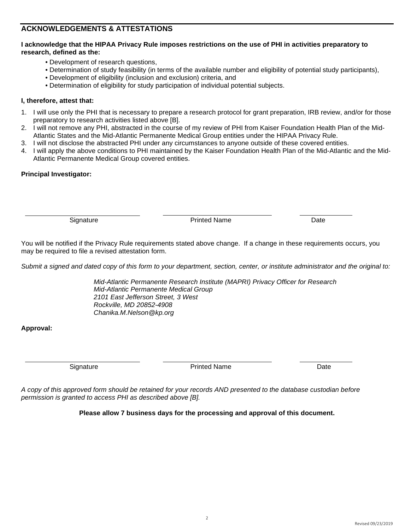# **ACKNOWLEDGEMENTS & ATTESTATIONS**

### **I acknowledge that the HIPAA Privacy Rule imposes restrictions on the use of PHI in activities preparatory to research, defined as the:**

- Development of research questions,
- Determination of study feasibility (in terms of the available number and eligibility of potential study participants),
- Development of eligibility (inclusion and exclusion) criteria, and
- Determination of eligibility for study participation of individual potential subjects.

## **I, therefore, attest that:**

- 1. I will use only the PHI that is necessary to prepare a research protocol for grant preparation, IRB review, and/or for those preparatory to research activities listed above [B].
- 2. I will not remove any PHI, abstracted in the course of my review of PHI from Kaiser Foundation Health Plan of the Mid-Atlantic States and the Mid-Atlantic Permanente Medical Group entities under the HIPAA Privacy Rule.
- 3. I will not disclose the abstracted PHI under any circumstances to anyone outside of these covered entities.
- 4. I will apply the above conditions to PHI maintained by the Kaiser Foundation Health Plan of the Mid-Atlantic and the Mid-Atlantic Permanente Medical Group covered entities.

## **Principal Investigator:**

Signature **Printed Name** Printed Name **Date** 

You will be notified if the Privacy Rule requirements stated above change. If a change in these requirements occurs, you may be required to file a revised attestation form.

*Submit a signed and dated copy of this form to your department, section, center, or institute administrator and the original to:* 

*Mid-Atlantic Permanente Research Institute (MAPRI) Privacy Officer for Research Mid-Atlantic Permanente Medical Group 2101 East Jefferson Street, 3 West Rockville, MD 20852-4908 Chanika.M.Nelson@kp.org* 

## **Approval:**

Signature **Contract Contract Printed Name Contract Contract Date** Date

*A copy of this approved form should be retained for your records AND presented to the database custodian before permission is granted to access PHI as described above [B].* 

**Please allow 7 business days for the processing and approval of this document.**